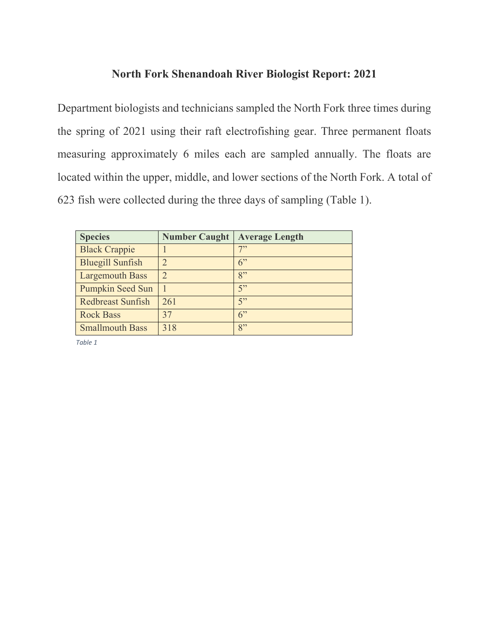## **North Fork Shenandoah River Biologist Report: 2021**

Department biologists and technicians sampled the North Fork three times during the spring of 2021 using their raft electrofishing gear. Three permanent floats measuring approximately 6 miles each are sampled annually. The floats are located within the upper, middle, and lower sections of the North Fork. A total of 623 fish were collected during the three days of sampling (Table 1).

| <b>Species</b>           | <b>Number Caught</b>    | <b>Average Length</b> |
|--------------------------|-------------------------|-----------------------|
| <b>Black Crappie</b>     |                         | 7"                    |
| <b>Bluegill Sunfish</b>  | $\mathcal{D}_{1}^{(1)}$ | 6                     |
| <b>Largemouth Bass</b>   | $\overline{2}$          | 8"                    |
| <b>Pumpkin Seed Sun</b>  |                         | 5                     |
| <b>Redbreast Sunfish</b> | 261                     | 5                     |
| <b>Rock Bass</b>         | 37                      | 6                     |
| <b>Smallmouth Bass</b>   | 318                     | 8"                    |

*Table 1*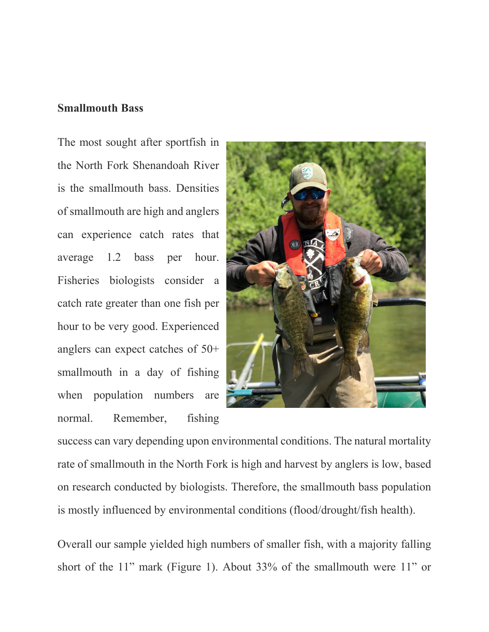#### **Smallmouth Bass**

The most sought after sportfish in the North Fork Shenandoah River is the smallmouth bass. Densities of smallmouth are high and anglers can experience catch rates that average 1.2 bass per hour. Fisheries biologists consider a catch rate greater than one fish per hour to be very good. Experienced anglers can expect catches of 50+ smallmouth in a day of fishing when population numbers are normal. Remember, fishing



success can vary depending upon environmental conditions. The natural mortality rate of smallmouth in the North Fork is high and harvest by anglers is low, based on research conducted by biologists. Therefore, the smallmouth bass population is mostly influenced by environmental conditions (flood/drought/fish health).

Overall our sample yielded high numbers of smaller fish, with a majority falling short of the 11" mark (Figure 1). About 33% of the smallmouth were 11" or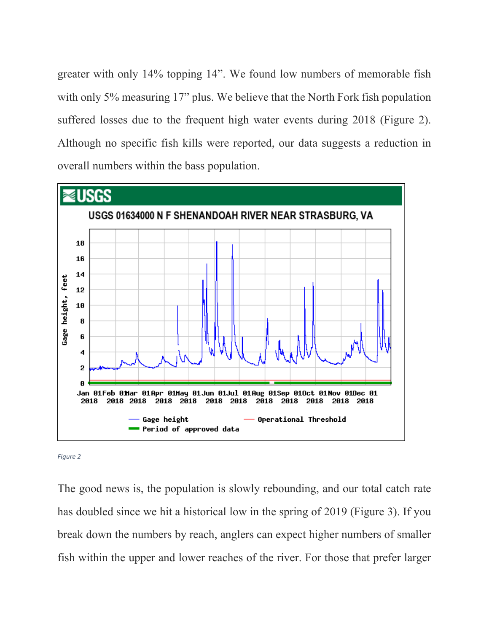greater with only 14% topping 14". We found low numbers of memorable fish with only 5% measuring 17" plus. We believe that the North Fork fish population suffered losses due to the frequent high water events during 2018 (Figure 2). Although no specific fish kills were reported, our data suggests a reduction in overall numbers within the bass population.



*Figure 2*

The good news is, the population is slowly rebounding, and our total catch rate has doubled since we hit a historical low in the spring of 2019 (Figure 3). If you break down the numbers by reach, anglers can expect higher numbers of smaller fish within the upper and lower reaches of the river. For those that prefer larger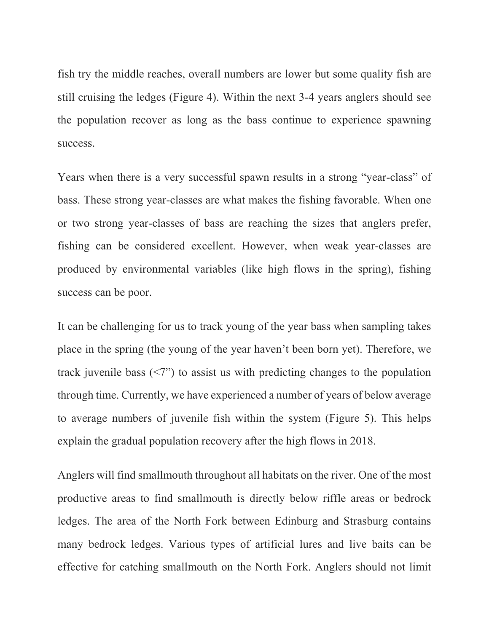fish try the middle reaches, overall numbers are lower but some quality fish are still cruising the ledges (Figure 4). Within the next 3-4 years anglers should see the population recover as long as the bass continue to experience spawning success.

Years when there is a very successful spawn results in a strong "year-class" of bass. These strong year-classes are what makes the fishing favorable. When one or two strong year-classes of bass are reaching the sizes that anglers prefer, fishing can be considered excellent. However, when weak year-classes are produced by environmental variables (like high flows in the spring), fishing success can be poor.

It can be challenging for us to track young of the year bass when sampling takes place in the spring (the young of the year haven't been born yet). Therefore, we track juvenile bass (<7") to assist us with predicting changes to the population through time. Currently, we have experienced a number of years of below average to average numbers of juvenile fish within the system (Figure 5). This helps explain the gradual population recovery after the high flows in 2018.

Anglers will find smallmouth throughout all habitats on the river. One of the most productive areas to find smallmouth is directly below riffle areas or bedrock ledges. The area of the North Fork between Edinburg and Strasburg contains many bedrock ledges. Various types of artificial lures and live baits can be effective for catching smallmouth on the North Fork. Anglers should not limit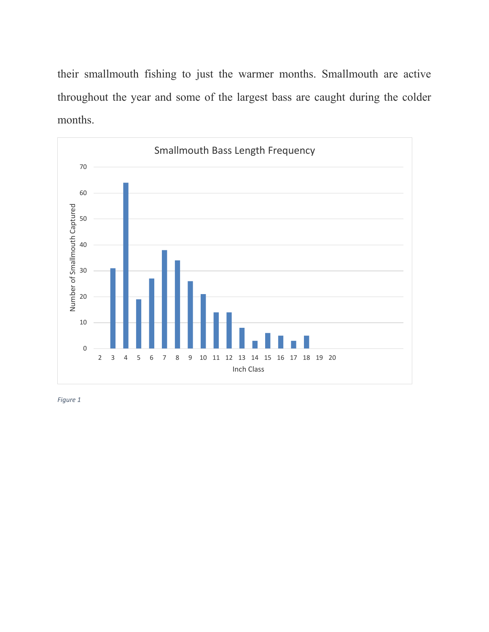their smallmouth fishing to just the warmer months. Smallmouth are active throughout the year and some of the largest bass are caught during the colder months.



*Figure 1*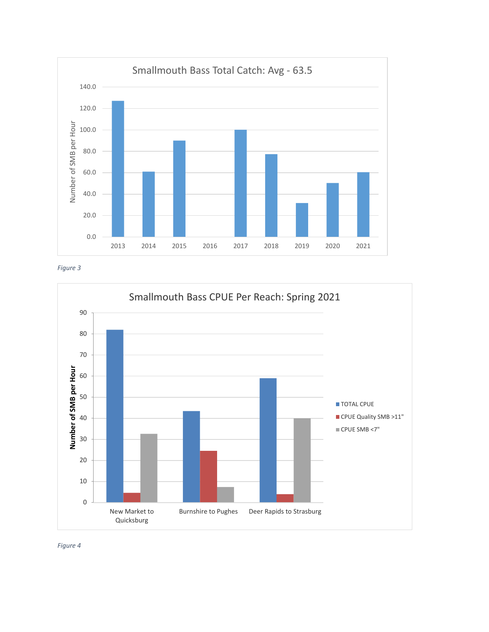





*Figure 4*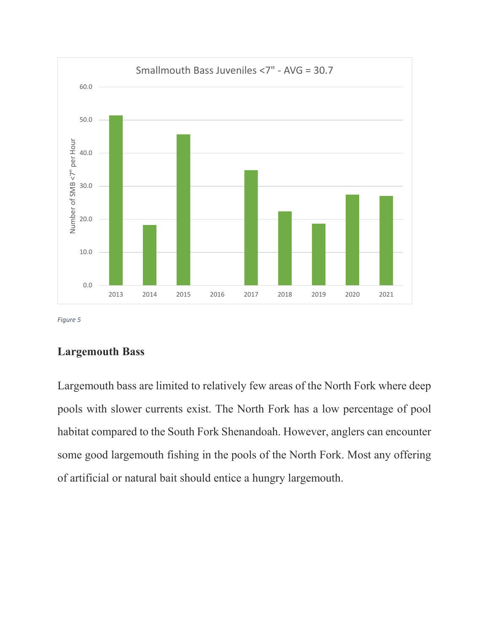

*Figure 5*

#### **Largemouth Bass**

Largemouth bass are limited to relatively few areas of the North Fork where deep pools with slower currents exist. The North Fork has a low percentage of pool habitat compared to the South Fork Shenandoah. However, anglers can encounter some good largemouth fishing in the pools of the North Fork. Most any offering of artificial or natural bait should entice a hungry largemouth.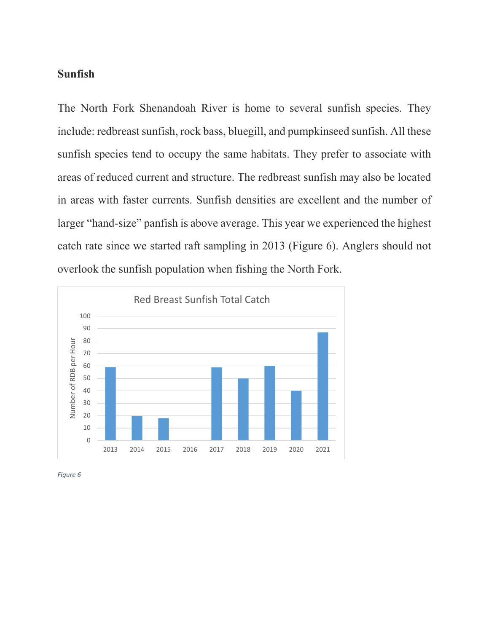#### **Sunfish**

The North Fork Shenandoah River is home to several sunfish species. They include: redbreast sunfish, rock bass, bluegill, and pumpkinseed sunfish. All these sunfish species tend to occupy the same habitats. They prefer to associate with areas of reduced current and structure. The redbreast sunfish may also be located in areas with faster currents. Sunfish densities are excellent and the number of larger "hand-size" panfish is above average. This year we experienced the highest catch rate since we started raft sampling in 2013 (Figure 6). Anglers should not overlook the sunfish population when fishing the North Fork.



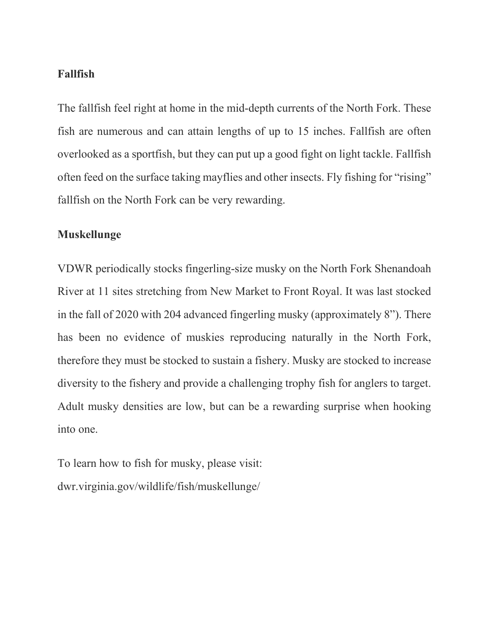### **Fallfish**

The fallfish feel right at home in the mid-depth currents of the North Fork. These fish are numerous and can attain lengths of up to 15 inches. Fallfish are often overlooked as a sportfish, but they can put up a good fight on light tackle. Fallfish often feed on the surface taking mayflies and other insects. Fly fishing for "rising" fallfish on the North Fork can be very rewarding.

### **Muskellunge**

VDWR periodically stocks fingerling-size musky on the North Fork Shenandoah River at 11 sites stretching from New Market to Front Royal. It was last stocked in the fall of 2020 with 204 advanced fingerling musky (approximately 8"). There has been no evidence of muskies reproducing naturally in the North Fork, therefore they must be stocked to sustain a fishery. Musky are stocked to increase diversity to the fishery and provide a challenging trophy fish for anglers to target. Adult musky densities are low, but can be a rewarding surprise when hooking into one.

To learn how to fish for musky, please visit: dwr.virginia.gov/wildlife/fish/muskellunge/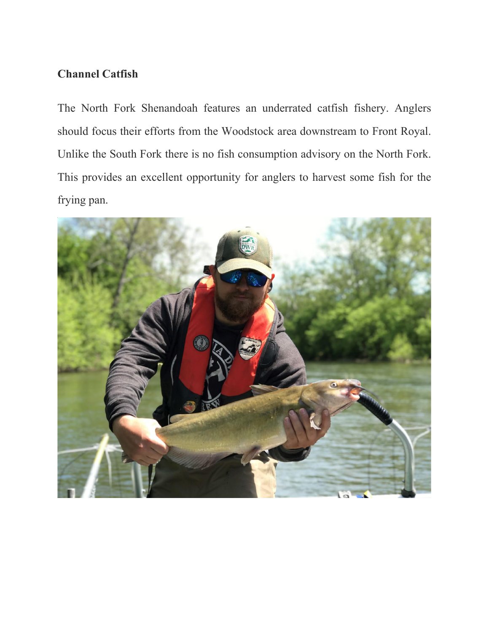## **Channel Catfish**

The North Fork Shenandoah features an underrated catfish fishery. Anglers should focus their efforts from the Woodstock area downstream to Front Royal. Unlike the South Fork there is no fish consumption advisory on the North Fork. This provides an excellent opportunity for anglers to harvest some fish for the frying pan.